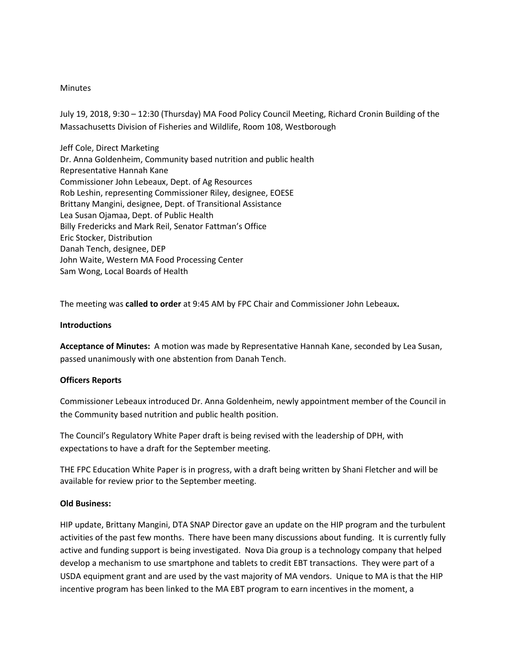## **Minutes**

July 19, 2018, 9:30 – 12:30 (Thursday) MA Food Policy Council Meeting, Richard Cronin Building of the Massachusetts Division of Fisheries and Wildlife, Room 108, Westborough

Jeff Cole, Direct Marketing Dr. Anna Goldenheim, Community based nutrition and public health Representative Hannah Kane Commissioner John Lebeaux, Dept. of Ag Resources Rob Leshin, representing Commissioner Riley, designee, EOESE Brittany Mangini, designee, Dept. of Transitional Assistance Lea Susan Ojamaa, Dept. of Public Health Billy Fredericks and Mark Reil, Senator Fattman's Office Eric Stocker, Distribution Danah Tench, designee, DEP John Waite, Western MA Food Processing Center Sam Wong, Local Boards of Health

The meeting was **called to order** at 9:45 AM by FPC Chair and Commissioner John Lebeaux**.** 

# **Introductions**

**Acceptance of Minutes:** A motion was made by Representative Hannah Kane, seconded by Lea Susan, passed unanimously with one abstention from Danah Tench.

# **Officers Reports**

Commissioner Lebeaux introduced Dr. Anna Goldenheim, newly appointment member of the Council in the Community based nutrition and public health position.

The Council's Regulatory White Paper draft is being revised with the leadership of DPH, with expectations to have a draft for the September meeting.

THE FPC Education White Paper is in progress, with a draft being written by Shani Fletcher and will be available for review prior to the September meeting.

### **Old Business:**

HIP update, Brittany Mangini, DTA SNAP Director gave an update on the HIP program and the turbulent activities of the past few months. There have been many discussions about funding. It is currently fully active and funding support is being investigated. Nova Dia group is a technology company that helped develop a mechanism to use smartphone and tablets to credit EBT transactions. They were part of a USDA equipment grant and are used by the vast majority of MA vendors. Unique to MA is that the HIP incentive program has been linked to the MA EBT program to earn incentives in the moment, a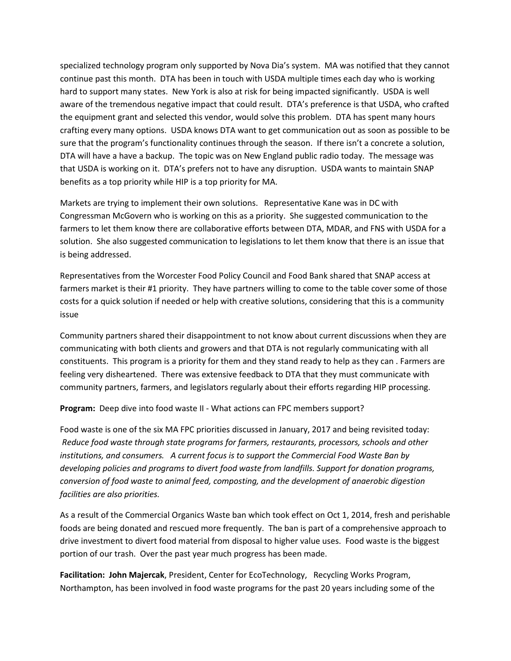specialized technology program only supported by Nova Dia's system. MA was notified that they cannot continue past this month. DTA has been in touch with USDA multiple times each day who is working hard to support many states. New York is also at risk for being impacted significantly. USDA is well aware of the tremendous negative impact that could result. DTA's preference is that USDA, who crafted the equipment grant and selected this vendor, would solve this problem. DTA has spent many hours crafting every many options. USDA knows DTA want to get communication out as soon as possible to be sure that the program's functionality continues through the season. If there isn't a concrete a solution, DTA will have a have a backup. The topic was on New England public radio today. The message was that USDA is working on it. DTA's prefers not to have any disruption. USDA wants to maintain SNAP benefits as a top priority while HIP is a top priority for MA.

Markets are trying to implement their own solutions. Representative Kane was in DC with Congressman McGovern who is working on this as a priority. She suggested communication to the farmers to let them know there are collaborative efforts between DTA, MDAR, and FNS with USDA for a solution. She also suggested communication to legislations to let them know that there is an issue that is being addressed.

Representatives from the Worcester Food Policy Council and Food Bank shared that SNAP access at farmers market is their #1 priority. They have partners willing to come to the table cover some of those costs for a quick solution if needed or help with creative solutions, considering that this is a community issue

Community partners shared their disappointment to not know about current discussions when they are communicating with both clients and growers and that DTA is not regularly communicating with all constituents. This program is a priority for them and they stand ready to help as they can . Farmers are feeling very disheartened. There was extensive feedback to DTA that they must communicate with community partners, farmers, and legislators regularly about their efforts regarding HIP processing.

**Program:** Deep dive into food waste II - What actions can FPC members support?

Food waste is one of the six MA FPC priorities discussed in January, 2017 and being revisited today: *Reduce food waste through state programs for farmers, restaurants, processors, schools and other institutions, and consumers. A current focus is to support the Commercial Food Waste Ban by developing policies and programs to divert food waste from landfills. Support for donation programs, conversion of food waste to animal feed, composting, and the development of anaerobic digestion facilities are also priorities.* 

As a result of the Commercial Organics Waste ban which took effect on Oct 1, 2014, fresh and perishable foods are being donated and rescued more frequently. The ban is part of a comprehensive approach to drive investment to divert food material from disposal to higher value uses. Food waste is the biggest portion of our trash. Over the past year much progress has been made.

**Facilitation: John Majercak**, President, Center for EcoTechnology, Recycling Works Program, Northampton, has been involved in food waste programs for the past 20 years including some of the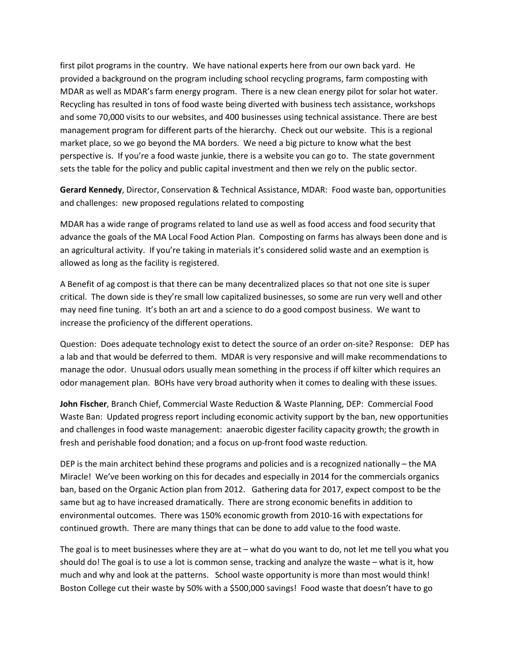first pilot programs in the country. We have national experts here from our own back yard. He provided a background on the program including school recycling programs, farm composting with MDAR as well as MDAR's farm energy program. There is a new clean energy pilot for solar hot water. Recycling has resulted in tons of food waste being diverted with business tech assistance, workshops and some 70,000 visits to our websites, and 400 businesses using technical assistance. There are best management program for different parts of the hierarchy. Check out our website. This is a regional market place, so we go beyond the MA borders. We need a big picture to know what the best perspective is. If you're a food waste junkie, there is a website you can go to. The state government sets the table for the policy and public capital investment and then we rely on the public sector.

**Gerard Kennedy**, Director, Conservation & Technical Assistance, MDAR: Food waste ban, opportunities and challenges: new proposed regulations related to composting

MDAR has a wide range of programs related to land use as well as food access and food security that advance the goals of the MA Local Food Action Plan. Composting on farms has always been done and is an agricultural activity. If you're taking in materials it's considered solid waste and an exemption is allowed as long as the facility is registered.

A Benefit of ag compost is that there can be many decentralized places so that not one site is super critical. The down side is they're small low capitalized businesses, so some are run very well and other may need fine tuning. It's both an art and a science to do a good compost business. We want to increase the proficiency of the different operations.

Question: Does adequate technology exist to detect the source of an order on-site? Response: DEP has a lab and that would be deferred to them. MDAR is very responsive and will make recommendations to manage the odor. Unusual odors usually mean something in the process if off kilter which requires an odor management plan. BOHs have very broad authority when it comes to dealing with these issues.

**John Fischer**, Branch Chief, Commercial Waste Reduction & Waste Planning, DEP: Commercial Food Waste Ban: Updated progress report including economic activity support by the ban, new opportunities and challenges in food waste management: anaerobic digester facility capacity growth; the growth in fresh and perishable food donation; and a focus on up-front food waste reduction*.*

DEP is the main architect behind these programs and policies and is a recognized nationally – the MA Miracle! We've been working on this for decades and especially in 2014 for the commercials organics ban, based on the Organic Action plan from 2012. Gathering data for 2017, expect compost to be the same but ag to have increased dramatically. There are strong economic benefits in addition to environmental outcomes. There was 150% economic growth from 2010-16 with expectations for continued growth. There are many things that can be done to add value to the food waste.

The goal is to meet businesses where they are at – what do you want to do, not let me tell you what you should do! The goal is to use a lot is common sense, tracking and analyze the waste – what is it, how much and why and look at the patterns. School waste opportunity is more than most would think! Boston College cut their waste by 50% with a \$500,000 savings! Food waste that doesn't have to go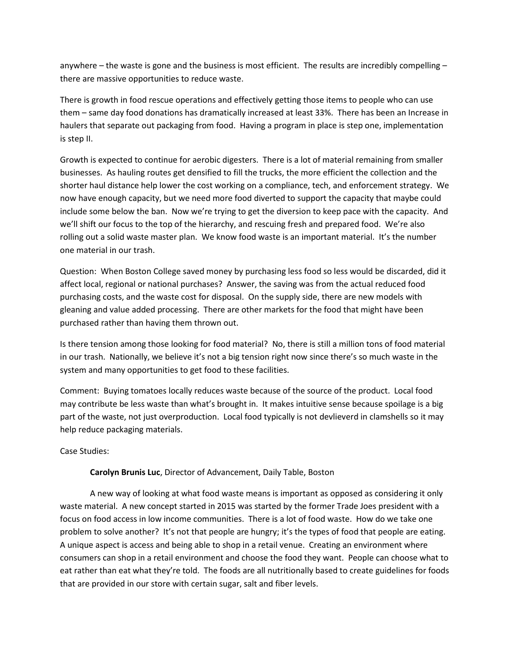anywhere – the waste is gone and the business is most efficient. The results are incredibly compelling – there are massive opportunities to reduce waste.

There is growth in food rescue operations and effectively getting those items to people who can use them – same day food donations has dramatically increased at least 33%. There has been an Increase in haulers that separate out packaging from food. Having a program in place is step one, implementation is step II.

Growth is expected to continue for aerobic digesters. There is a lot of material remaining from smaller businesses. As hauling routes get densified to fill the trucks, the more efficient the collection and the shorter haul distance help lower the cost working on a compliance, tech, and enforcement strategy. We now have enough capacity, but we need more food diverted to support the capacity that maybe could include some below the ban. Now we're trying to get the diversion to keep pace with the capacity. And we'll shift our focus to the top of the hierarchy, and rescuing fresh and prepared food. We're also rolling out a solid waste master plan. We know food waste is an important material. It's the number one material in our trash.

Question: When Boston College saved money by purchasing less food so less would be discarded, did it affect local, regional or national purchases? Answer, the saving was from the actual reduced food purchasing costs, and the waste cost for disposal. On the supply side, there are new models with gleaning and value added processing. There are other markets for the food that might have been purchased rather than having them thrown out.

Is there tension among those looking for food material? No, there is still a million tons of food material in our trash. Nationally, we believe it's not a big tension right now since there's so much waste in the system and many opportunities to get food to these facilities.

Comment: Buying tomatoes locally reduces waste because of the source of the product. Local food may contribute be less waste than what's brought in. It makes intuitive sense because spoilage is a big part of the waste, not just overproduction. Local food typically is not devlieverd in clamshells so it may help reduce packaging materials.

Case Studies:

# **Carolyn Brunis Luc**, Director of Advancement, Daily Table, Boston

A new way of looking at what food waste means is important as opposed as considering it only waste material. A new concept started in 2015 was started by the former Trade Joes president with a focus on food access in low income communities. There is a lot of food waste. How do we take one problem to solve another? It's not that people are hungry; it's the types of food that people are eating. A unique aspect is access and being able to shop in a retail venue. Creating an environment where consumers can shop in a retail environment and choose the food they want. People can choose what to eat rather than eat what they're told. The foods are all nutritionally based to create guidelines for foods that are provided in our store with certain sugar, salt and fiber levels.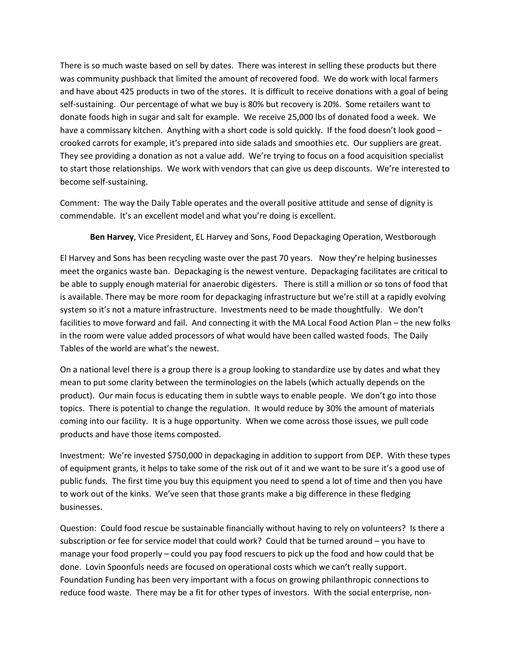There is so much waste based on sell by dates. There was interest in selling these products but there was community pushback that limited the amount of recovered food. We do work with local farmers and have about 425 products in two of the stores. It is difficult to receive donations with a goal of being self-sustaining. Our percentage of what we buy is 80% but recovery is 20%. Some retailers want to donate foods high in sugar and salt for example. We receive 25,000 lbs of donated food a week. We have a commissary kitchen. Anything with a short code is sold quickly. If the food doesn't look good – crooked carrots for example, it's prepared into side salads and smoothies etc. Our suppliers are great. They see providing a donation as not a value add. We're trying to focus on a food acquisition specialist to start those relationships. We work with vendors that can give us deep discounts. We're interested to become self-sustaining.

Comment: The way the Daily Table operates and the overall positive attitude and sense of dignity is commendable. It's an excellent model and what you're doing is excellent.

**Ben Harvey**, Vice President, EL Harvey and Sons, Food Depackaging Operation, Westborough

El Harvey and Sons has been recycling waste over the past 70 years. Now they're helping businesses meet the organics waste ban. Depackaging is the newest venture. Depackaging facilitates are critical to be able to supply enough material for anaerobic digesters. There is still a million or so tons of food that is available. There may be more room for depackaging infrastructure but we're still at a rapidly evolving system so it's not a mature infrastructure. Investments need to be made thoughtfully. We don't facilities to move forward and fail. And connecting it with the MA Local Food Action Plan – the new folks in the room were value added processors of what would have been called wasted foods. The Daily Tables of the world are what's the newest.

On a national level there is a group there is a group looking to standardize use by dates and what they mean to put some clarity between the terminologies on the labels (which actually depends on the product). Our main focus is educating them in subtle ways to enable people. We don't go into those topics. There is potential to change the regulation. It would reduce by 30% the amount of materials coming into our facility. It is a huge opportunity. When we come across those issues, we pull code products and have those items composted.

Investment: We're invested \$750,000 in depackaging in addition to support from DEP. With these types of equipment grants, it helps to take some of the risk out of it and we want to be sure it's a good use of public funds. The first time you buy this equipment you need to spend a lot of time and then you have to work out of the kinks. We've seen that those grants make a big difference in these fledging businesses.

Question: Could food rescue be sustainable financially without having to rely on volunteers? Is there a subscription or fee for service model that could work? Could that be turned around – you have to manage your food properly – could you pay food rescuers to pick up the food and how could that be done. Lovin Spoonfuls needs are focused on operational costs which we can't really support. Foundation Funding has been very important with a focus on growing philanthropic connections to reduce food waste. There may be a fit for other types of investors. With the social enterprise, non